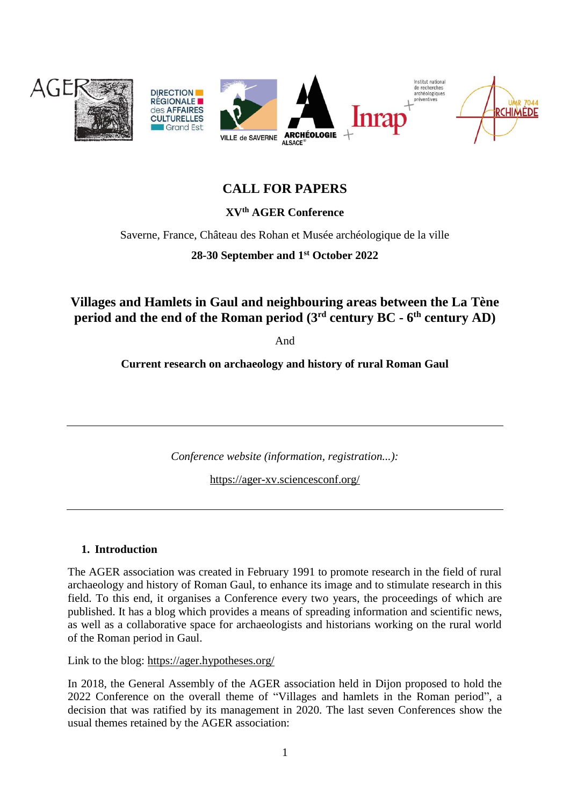

# **CALL FOR PAPERS**

# **XVth AGER Conference**

Saverne, France, Château des Rohan et Musée archéologique de la ville

**28-30 September and 1st October 2022**

**Villages and Hamlets in Gaul and neighbouring areas between the La Tène period and the end of the Roman period (3rd century BC - 6 th century AD)**

And

**Current research on archaeology and history of rural Roman Gaul**

*Conference website (information, registration...):*

<https://ager-xv.sciencesconf.org/>

#### **1. Introduction**

The AGER association was created in February 1991 to promote research in the field of rural archaeology and history of Roman Gaul, to enhance its image and to stimulate research in this field. To this end, it organises a Conference every two years, the proceedings of which are published. It has a blog which provides a means of spreading information and scientific news, as well as a collaborative space for archaeologists and historians working on the rural world of the Roman period in Gaul.

Link to the blog: <https://ager.hypotheses.org/>

In 2018, the General Assembly of the AGER association held in Dijon proposed to hold the 2022 Conference on the overall theme of "Villages and hamlets in the Roman period", a decision that was ratified by its management in 2020. The last seven Conferences show the usual themes retained by the AGER association: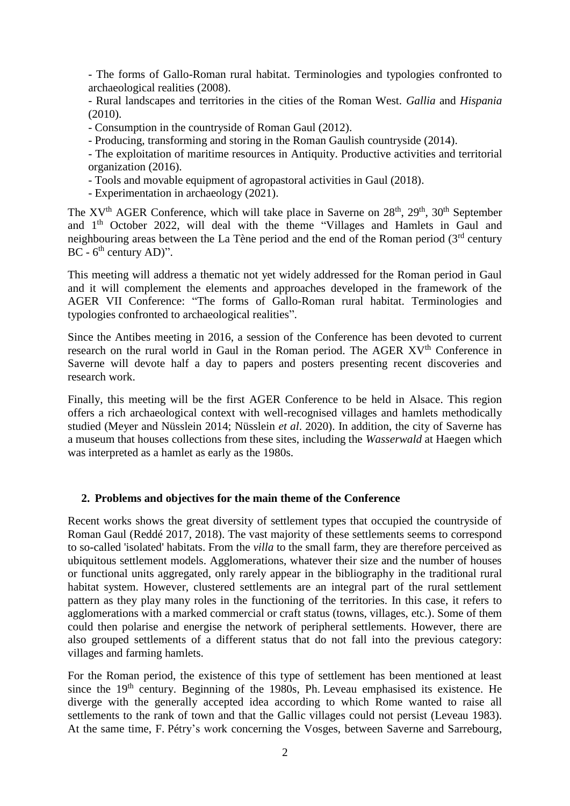- The forms of Gallo-Roman rural habitat. Terminologies and typologies confronted to archaeological realities (2008).

- Rural landscapes and territories in the cities of the Roman West. *Gallia* and *Hispania* (2010).

- Consumption in the countryside of Roman Gaul (2012).

- Producing, transforming and storing in the Roman Gaulish countryside (2014).

- The exploitation of maritime resources in Antiquity. Productive activities and territorial organization (2016).

- Tools and movable equipment of agropastoral activities in Gaul (2018).

- Experimentation in archaeology (2021).

The  $XV<sup>th</sup> AGER Conference$ , which will take place in Saverne on  $28<sup>th</sup>$ ,  $29<sup>th</sup>$ ,  $30<sup>th</sup>$  September and 1th October 2022, will deal with the theme "Villages and Hamlets in Gaul and neighbouring areas between the La Tène period and the end of the Roman period  $(3<sup>rd</sup>$  century  $BC - 6<sup>th</sup> century AD$ <sup>"</sup>.

This meeting will address a thematic not yet widely addressed for the Roman period in Gaul and it will complement the elements and approaches developed in the framework of the AGER VII Conference: "The forms of Gallo-Roman rural habitat. Terminologies and typologies confronted to archaeological realities".

Since the Antibes meeting in 2016, a session of the Conference has been devoted to current research on the rural world in Gaul in the Roman period. The AGER XV<sup>th</sup> Conference in Saverne will devote half a day to papers and posters presenting recent discoveries and research work.

Finally, this meeting will be the first AGER Conference to be held in Alsace. This region offers a rich archaeological context with well-recognised villages and hamlets methodically studied (Meyer and Nüsslein 2014; Nüsslein *et al*. 2020). In addition, the city of Saverne has a museum that houses collections from these sites, including the *Wasserwald* at Haegen which was interpreted as a hamlet as early as the 1980s.

### **2. Problems and objectives for the main theme of the Conference**

Recent works shows the great diversity of settlement types that occupied the countryside of Roman Gaul (Reddé 2017, 2018). The vast majority of these settlements seems to correspond to so-called 'isolated' habitats. From the *villa* to the small farm, they are therefore perceived as ubiquitous settlement models. Agglomerations, whatever their size and the number of houses or functional units aggregated, only rarely appear in the bibliography in the traditional rural habitat system. However, clustered settlements are an integral part of the rural settlement pattern as they play many roles in the functioning of the territories. In this case, it refers to agglomerations with a marked commercial or craft status (towns, villages, etc.). Some of them could then polarise and energise the network of peripheral settlements. However, there are also grouped settlements of a different status that do not fall into the previous category: villages and farming hamlets.

For the Roman period, the existence of this type of settlement has been mentioned at least since the  $19<sup>th</sup>$  century. Beginning of the 1980s, Ph. Leveau emphasised its existence. He diverge with the generally accepted idea according to which Rome wanted to raise all settlements to the rank of town and that the Gallic villages could not persist (Leveau 1983). At the same time, F. Pétry's work concerning the Vosges, between Saverne and Sarrebourg,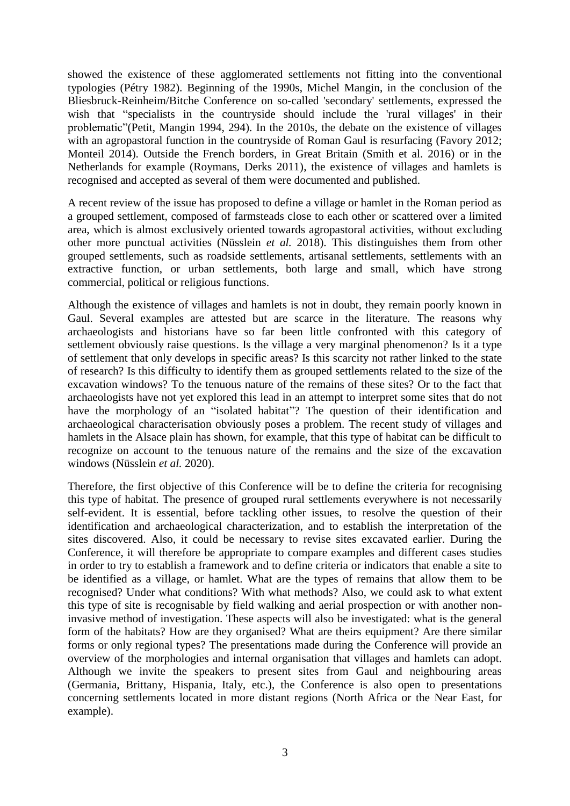showed the existence of these agglomerated settlements not fitting into the conventional typologies (Pétry 1982). Beginning of the 1990s, Michel Mangin, in the conclusion of the Bliesbruck-Reinheim/Bitche Conference on so-called 'secondary' settlements, expressed the wish that "specialists in the countryside should include the 'rural villages' in their problematic"(Petit, Mangin 1994, 294). In the 2010s, the debate on the existence of villages with an agropastoral function in the countryside of Roman Gaul is resurfacing (Favory 2012; Monteil 2014). Outside the French borders, in Great Britain (Smith et al. 2016) or in the Netherlands for example (Roymans, Derks 2011), the existence of villages and hamlets is recognised and accepted as several of them were documented and published.

A recent review of the issue has proposed to define a village or hamlet in the Roman period as a grouped settlement, composed of farmsteads close to each other or scattered over a limited area, which is almost exclusively oriented towards agropastoral activities, without excluding other more punctual activities (Nüsslein *et al.* 2018). This distinguishes them from other grouped settlements, such as roadside settlements, artisanal settlements, settlements with an extractive function, or urban settlements, both large and small, which have strong commercial, political or religious functions.

Although the existence of villages and hamlets is not in doubt, they remain poorly known in Gaul. Several examples are attested but are scarce in the literature. The reasons why archaeologists and historians have so far been little confronted with this category of settlement obviously raise questions. Is the village a very marginal phenomenon? Is it a type of settlement that only develops in specific areas? Is this scarcity not rather linked to the state of research? Is this difficulty to identify them as grouped settlements related to the size of the excavation windows? To the tenuous nature of the remains of these sites? Or to the fact that archaeologists have not yet explored this lead in an attempt to interpret some sites that do not have the morphology of an "isolated habitat"? The question of their identification and archaeological characterisation obviously poses a problem. The recent study of villages and hamlets in the Alsace plain has shown, for example, that this type of habitat can be difficult to recognize on account to the tenuous nature of the remains and the size of the excavation windows (Nüsslein *et al.* 2020).

Therefore, the first objective of this Conference will be to define the criteria for recognising this type of habitat. The presence of grouped rural settlements everywhere is not necessarily self-evident. It is essential, before tackling other issues, to resolve the question of their identification and archaeological characterization, and to establish the interpretation of the sites discovered. Also, it could be necessary to revise sites excavated earlier. During the Conference, it will therefore be appropriate to compare examples and different cases studies in order to try to establish a framework and to define criteria or indicators that enable a site to be identified as a village, or hamlet. What are the types of remains that allow them to be recognised? Under what conditions? With what methods? Also, we could ask to what extent this type of site is recognisable by field walking and aerial prospection or with another noninvasive method of investigation. These aspects will also be investigated: what is the general form of the habitats? How are they organised? What are theirs equipment? Are there similar forms or only regional types? The presentations made during the Conference will provide an overview of the morphologies and internal organisation that villages and hamlets can adopt. Although we invite the speakers to present sites from Gaul and neighbouring areas (Germania, Brittany, Hispania, Italy, etc.), the Conference is also open to presentations concerning settlements located in more distant regions (North Africa or the Near East, for example).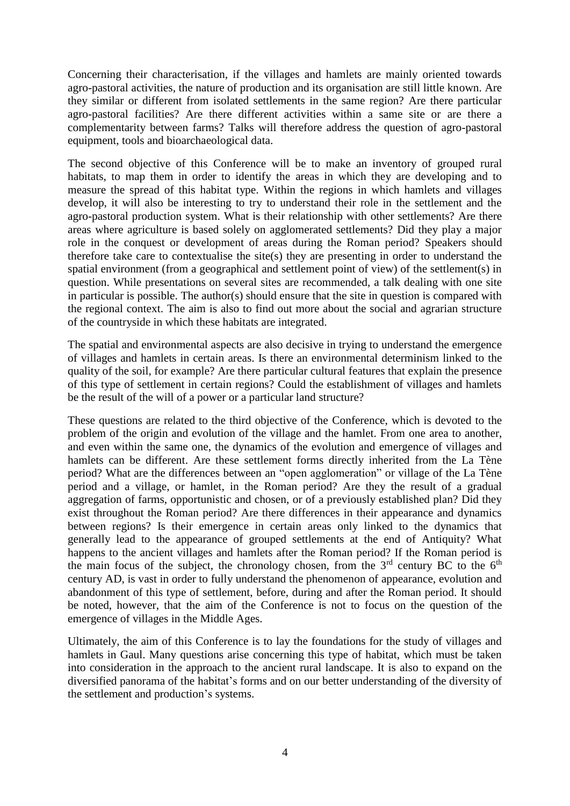Concerning their characterisation, if the villages and hamlets are mainly oriented towards agro-pastoral activities, the nature of production and its organisation are still little known. Are they similar or different from isolated settlements in the same region? Are there particular agro-pastoral facilities? Are there different activities within a same site or are there a complementarity between farms? Talks will therefore address the question of agro-pastoral equipment, tools and bioarchaeological data.

The second objective of this Conference will be to make an inventory of grouped rural habitats, to map them in order to identify the areas in which they are developing and to measure the spread of this habitat type. Within the regions in which hamlets and villages develop, it will also be interesting to try to understand their role in the settlement and the agro-pastoral production system. What is their relationship with other settlements? Are there areas where agriculture is based solely on agglomerated settlements? Did they play a major role in the conquest or development of areas during the Roman period? Speakers should therefore take care to contextualise the site(s) they are presenting in order to understand the spatial environment (from a geographical and settlement point of view) of the settlement(s) in question. While presentations on several sites are recommended, a talk dealing with one site in particular is possible. The author(s) should ensure that the site in question is compared with the regional context. The aim is also to find out more about the social and agrarian structure of the countryside in which these habitats are integrated.

The spatial and environmental aspects are also decisive in trying to understand the emergence of villages and hamlets in certain areas. Is there an environmental determinism linked to the quality of the soil, for example? Are there particular cultural features that explain the presence of this type of settlement in certain regions? Could the establishment of villages and hamlets be the result of the will of a power or a particular land structure?

These questions are related to the third objective of the Conference, which is devoted to the problem of the origin and evolution of the village and the hamlet. From one area to another, and even within the same one, the dynamics of the evolution and emergence of villages and hamlets can be different. Are these settlement forms directly inherited from the La Tène period? What are the differences between an "open agglomeration" or village of the La Tène period and a village, or hamlet, in the Roman period? Are they the result of a gradual aggregation of farms, opportunistic and chosen, or of a previously established plan? Did they exist throughout the Roman period? Are there differences in their appearance and dynamics between regions? Is their emergence in certain areas only linked to the dynamics that generally lead to the appearance of grouped settlements at the end of Antiquity? What happens to the ancient villages and hamlets after the Roman period? If the Roman period is the main focus of the subject, the chronology chosen, from the  $3<sup>rd</sup>$  century BC to the  $6<sup>th</sup>$ century AD, is vast in order to fully understand the phenomenon of appearance, evolution and abandonment of this type of settlement, before, during and after the Roman period. It should be noted, however, that the aim of the Conference is not to focus on the question of the emergence of villages in the Middle Ages.

Ultimately, the aim of this Conference is to lay the foundations for the study of villages and hamlets in Gaul. Many questions arise concerning this type of habitat, which must be taken into consideration in the approach to the ancient rural landscape. It is also to expand on the diversified panorama of the habitat's forms and on our better understanding of the diversity of the settlement and production's systems.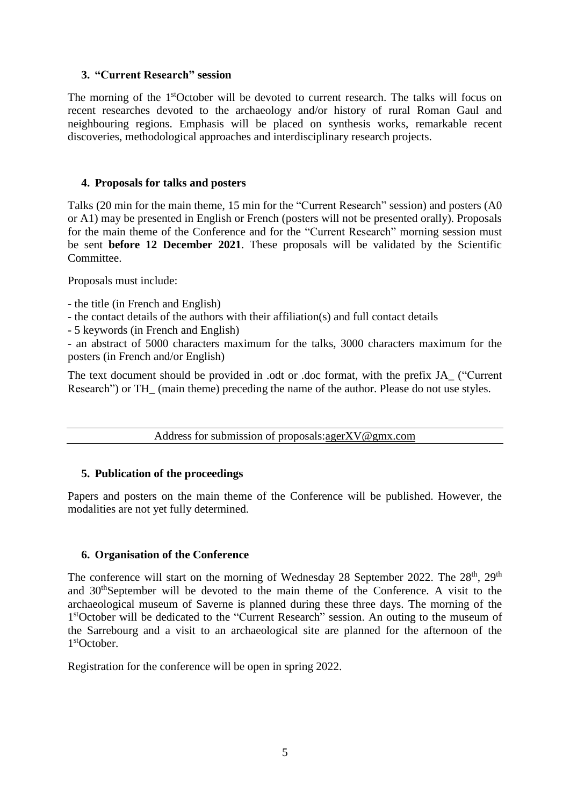### **3. "Current Research" session**

The morning of the 1<sup>st</sup>October will be devoted to current research. The talks will focus on recent researches devoted to the archaeology and/or history of rural Roman Gaul and neighbouring regions. Emphasis will be placed on synthesis works, remarkable recent discoveries, methodological approaches and interdisciplinary research projects.

### **4. Proposals for talks and posters**

Talks (20 min for the main theme, 15 min for the "Current Research" session) and posters (A0 or A1) may be presented in English or French (posters will not be presented orally). Proposals for the main theme of the Conference and for the "Current Research" morning session must be sent **before 12 December 2021**. These proposals will be validated by the Scientific Committee.

Proposals must include:

- the title (in French and English)
- the contact details of the authors with their affiliation(s) and full contact details
- 5 keywords (in French and English)

- an abstract of 5000 characters maximum for the talks, 3000 characters maximum for the posters (in French and/or English)

The text document should be provided in .odt or .doc format, with the prefix JA\_ ("Current Research") or TH\_ (main theme) preceding the name of the author. Please do not use styles.

Address for submission of proposals[:agerXV@gmx.com](mailto:agerXV@gmx.com)

# **5. Publication of the proceedings**

Papers and posters on the main theme of the Conference will be published. However, the modalities are not yet fully determined.

# **6. Organisation of the Conference**

The conference will start on the morning of Wednesday 28 September 2022. The 28<sup>th</sup>, 29<sup>th</sup> and 30thSeptember will be devoted to the main theme of the Conference. A visit to the archaeological museum of Saverne is planned during these three days. The morning of the 1<sup>st</sup>October will be dedicated to the "Current Research" session. An outing to the museum of the Sarrebourg and a visit to an archaeological site are planned for the afternoon of the 1 stOctober.

Registration for the conference will be open in spring 2022.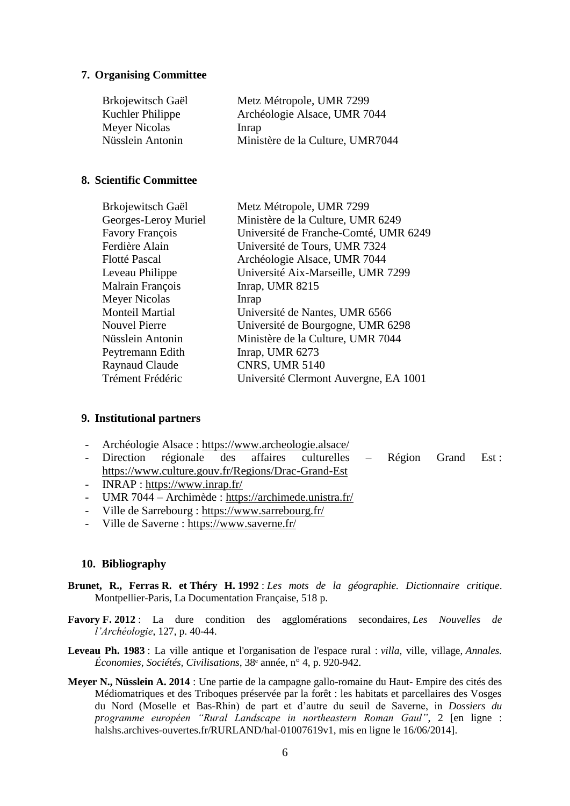### **7. Organising Committee**

| Brkojewitsch Gaël | Metz Métropole, UMR 7299         |
|-------------------|----------------------------------|
| Kuchler Philippe  | Archéologie Alsace, UMR 7044     |
| Meyer Nicolas     | Inrap                            |
| Nüsslein Antonin  | Ministère de la Culture, UMR7044 |

#### **8. Scientific Committee**

| Brkojewitsch Gaël    | Metz Métropole, UMR 7299              |
|----------------------|---------------------------------------|
| Georges-Leroy Muriel | Ministère de la Culture, UMR 6249     |
| Favory François      | Université de Franche-Comté, UMR 6249 |
| Ferdière Alain       | Université de Tours, UMR 7324         |
| Flotté Pascal        | Archéologie Alsace, UMR 7044          |
| Leveau Philippe      | Université Aix-Marseille, UMR 7299    |
| Malrain François     | Inrap, UMR 8215                       |
| Meyer Nicolas        | Inrap                                 |
| Monteil Martial      | Université de Nantes, UMR 6566        |
| <b>Nouvel Pierre</b> | Université de Bourgogne, UMR 6298     |
| Nüsslein Antonin     | Ministère de la Culture, UMR 7044     |
| Peytremann Edith     | Inrap, UMR 6273                       |
| Raynaud Claude       | <b>CNRS, UMR 5140</b>                 |
| Trément Frédéric     | Université Clermont Auvergne, EA 1001 |
|                      |                                       |

#### **9. Institutional partners**

- Archéologie Alsace :<https://www.archeologie.alsace/>
- Direction régionale des affaires culturelles Région Grand Est : <https://www.culture.gouv.fr/Regions/Drac-Grand-Est>
- INRAP :<https://www.inrap.fr/>
- UMR 7044 Archimède :<https://archimede.unistra.fr/>
- Ville de Sarrebourg :<https://www.sarrebourg.fr/>
- Ville de Saverne :<https://www.saverne.fr/>

#### **10. Bibliography**

- **Brunet, R., Ferras R. et Théry H. 1992** : *Les mots de la géographie. Dictionnaire critique*. Montpellier-Paris, La Documentation Française, 518 p.
- **Favory F. 2012** : La dure condition des agglomérations secondaires, *Les Nouvelles de l'Archéologie*, 127, p. 40-44.
- **Leveau Ph. 1983** : La ville antique et l'organisation de l'espace rural : *villa*, ville, village, *Annales. Économies, Sociétés, Civilisations*, 38ᵉ année, n° 4, p. 920-942.
- **Meyer N., Nüsslein A. 2014** : Une partie de la campagne gallo-romaine du Haut- Empire des cités des Médiomatriques et des Triboques préservée par la forêt : les habitats et parcellaires des Vosges du Nord (Moselle et Bas-Rhin) de part et d'autre du seuil de Saverne, in *Dossiers du programme européen "Rural Landscape in northeastern Roman Gaul"*, 2 [en ligne : halshs.archives-ouvertes.fr/RURLAND/hal-01007619v1, mis en ligne le 16/06/2014].